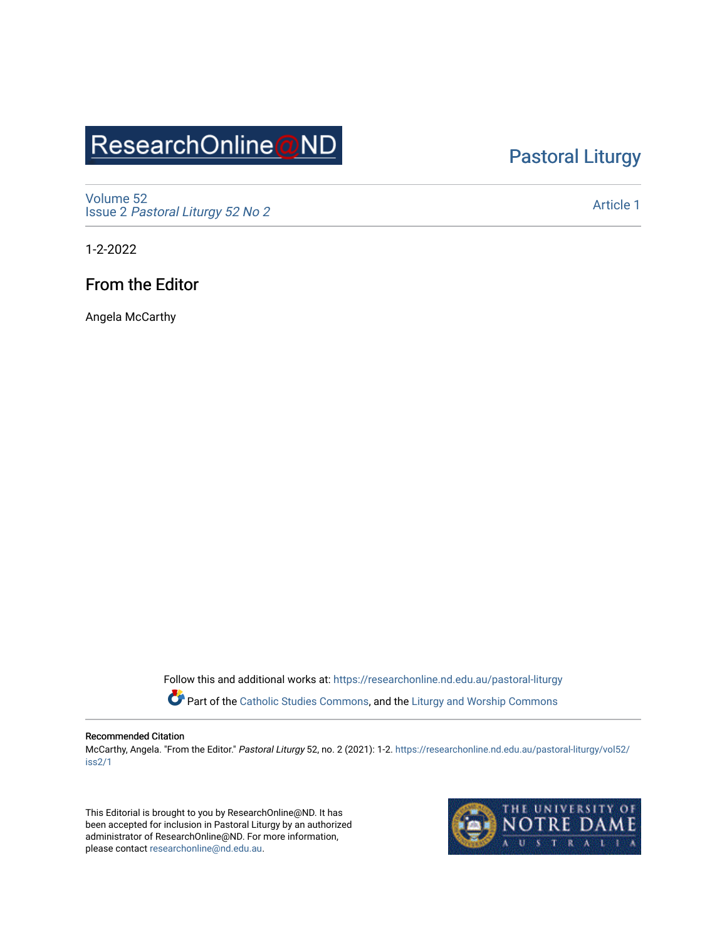# ResearchOnline@ND

## [Pastoral Liturgy](https://researchonline.nd.edu.au/pastoral-liturgy)

[Volume 52](https://researchonline.nd.edu.au/pastoral-liturgy/vol52) Issue 2 [Pastoral Liturgy 52 No 2](https://researchonline.nd.edu.au/pastoral-liturgy/vol52/iss2)

[Article 1](https://researchonline.nd.edu.au/pastoral-liturgy/vol52/iss2/1) 

1-2-2022

### From the Editor

Angela McCarthy

Follow this and additional works at: [https://researchonline.nd.edu.au/pastoral-liturgy](https://researchonline.nd.edu.au/pastoral-liturgy?utm_source=researchonline.nd.edu.au%2Fpastoral-liturgy%2Fvol52%2Fiss2%2F1&utm_medium=PDF&utm_campaign=PDFCoverPages)

Part of the [Catholic Studies Commons,](http://network.bepress.com/hgg/discipline/1294?utm_source=researchonline.nd.edu.au%2Fpastoral-liturgy%2Fvol52%2Fiss2%2F1&utm_medium=PDF&utm_campaign=PDFCoverPages) and the [Liturgy and Worship Commons](http://network.bepress.com/hgg/discipline/1188?utm_source=researchonline.nd.edu.au%2Fpastoral-liturgy%2Fvol52%2Fiss2%2F1&utm_medium=PDF&utm_campaign=PDFCoverPages) 

#### Recommended Citation

McCarthy, Angela. "From the Editor." Pastoral Liturgy 52, no. 2 (2021): 1-2. [https://researchonline.nd.edu.au/pastoral-liturgy/vol52/](https://researchonline.nd.edu.au/pastoral-liturgy/vol52/iss2/1?utm_source=researchonline.nd.edu.au%2Fpastoral-liturgy%2Fvol52%2Fiss2%2F1&utm_medium=PDF&utm_campaign=PDFCoverPages) [iss2/1](https://researchonline.nd.edu.au/pastoral-liturgy/vol52/iss2/1?utm_source=researchonline.nd.edu.au%2Fpastoral-liturgy%2Fvol52%2Fiss2%2F1&utm_medium=PDF&utm_campaign=PDFCoverPages)

This Editorial is brought to you by ResearchOnline@ND. It has been accepted for inclusion in Pastoral Liturgy by an authorized administrator of ResearchOnline@ND. For more information, please contact [researchonline@nd.edu.au.](mailto:researchonline@nd.edu.au)

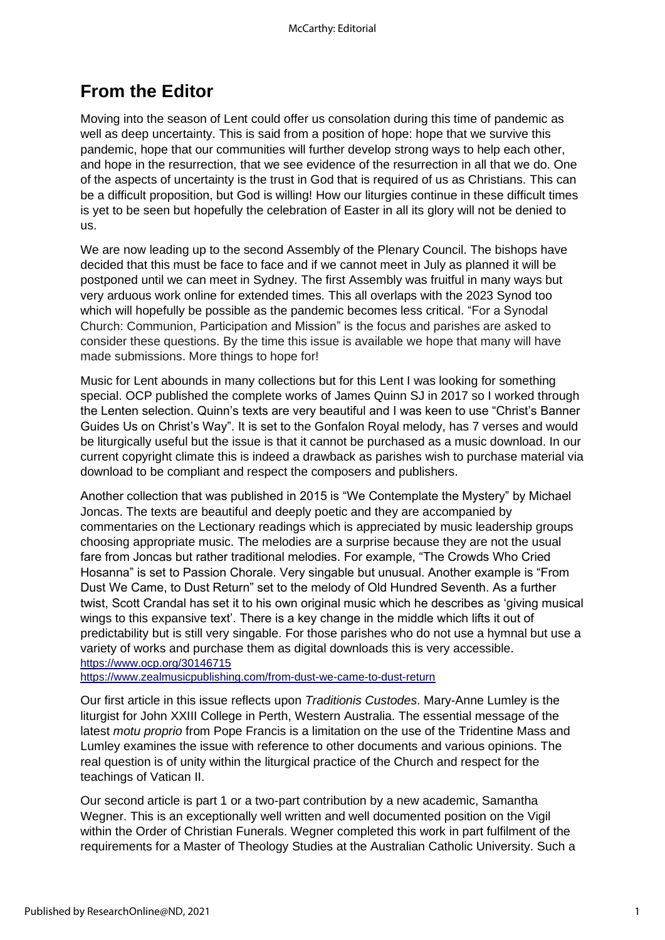## **From the Editor**

Moving into the season of Lent could offer us consolation during this time of pandemic as well as deep uncertainty. This is said from a position of hope: hope that we survive this pandemic, hope that our communities will further develop strong ways to help each other, and hope in the resurrection, that we see evidence of the resurrection in all that we do. One of the aspects of uncertainty is the trust in God that is required of us as Christians. This can be a difficult proposition, but God is willing! How our liturgies continue in these difficult times is yet to be seen but hopefully the celebration of Easter in all its glory will not be denied to us.

We are now leading up to the second Assembly of the Plenary Council. The bishops have decided that this must be face to face and if we cannot meet in July as planned it will be postponed until we can meet in Sydney. The first Assembly was fruitful in many ways but very arduous work online for extended times. This all overlaps with the 2023 Synod too which will hopefully be possible as the pandemic becomes less critical. "For a Synodal Church: Communion, Participation and Mission" is the focus and parishes are asked to consider these questions. By the time this issue is available we hope that many will have made submissions. More things to hope for!

Music for Lent abounds in many collections but for this Lent I was looking for something special. OCP published the complete works of James Quinn SJ in 2017 so I worked through the Lenten selection. Quinn's texts are very beautiful and I was keen to use "Christ's Banner Guides Us on Christ's Way". It is set to the Gonfalon Royal melody, has 7 verses and would be liturgically useful but the issue is that it cannot be purchased as a music download. In our current copyright climate this is indeed a drawback as parishes wish to purchase material via download to be compliant and respect the composers and publishers.

Another collection that was published in 2015 is "We Contemplate the Mystery" by Michael Joncas. The texts are beautiful and deeply poetic and they are accompanied by commentaries on the Lectionary readings which is appreciated by music leadership groups choosing appropriate music. The melodies are a surprise because they are not the usual fare from Joncas but rather traditional melodies. For example, "The Crowds Who Cried Hosanna" is set to Passion Chorale. Very singable but unusual. Another example is "From Dust We Came, to Dust Return" set to the melody of Old Hundred Seventh. As a further twist, Scott Crandal has set it to his own original music which he describes as 'giving musical wings to this expansive text'. There is a key change in the middle which lifts it out of predictability but is still very singable. For those parishes who do not use a hymnal but use a variety of works and purchase them as digital downloads this is very accessible. [https://www.ocp.org/30146715](https://protect-au.mimecast.com/s/xdagCJyBPqf835PvULN50z?domain=ocp.org)

[https://www.zealmusicpublishing.com/from-dust-we-came-to-dust-return](https://protect-au.mimecast.com/s/mnw2CK1D6Zcqzm0NUpAgly?domain=zealmusicpublishing.com)

Our first article in this issue reflects upon *Traditionis Custodes*. Mary-Anne Lumley is the liturgist for John XXIII College in Perth, Western Australia. The essential message of the latest *motu proprio* from Pope Francis is a limitation on the use of the Tridentine Mass and Lumley examines the issue with reference to other documents and various opinions. The real question is of unity within the liturgical practice of the Church and respect for the teachings of Vatican II.

Our second article is part 1 or a two-part contribution by a new academic, Samantha Wegner. This is an exceptionally well written and well documented position on the Vigil within the Order of Christian Funerals. Wegner completed this work in part fulfilment of the requirements for a Master of Theology Studies at the Australian Catholic University. Such a